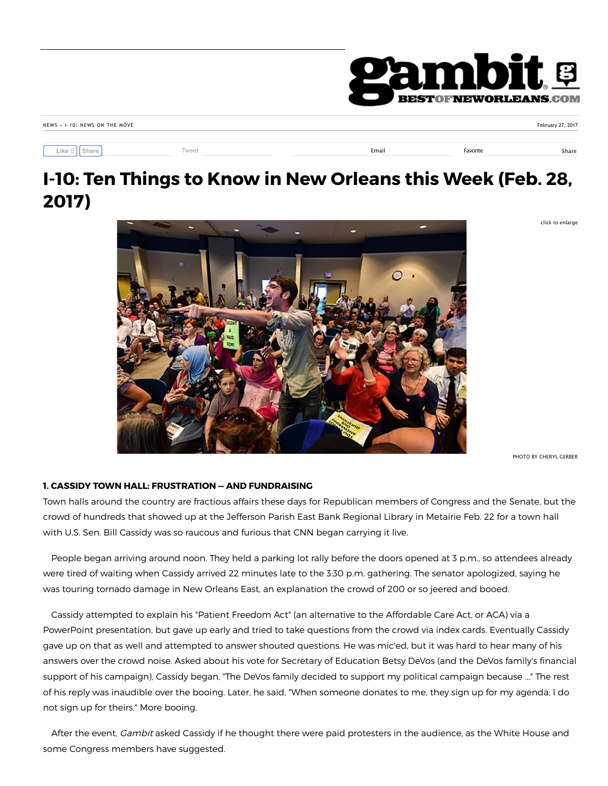

|  | NEWS » 1-10: NEWS ON THE MOVE |  |  |
|--|-------------------------------|--|--|
|  |                               |  |  |

**Like** 0 **Share**

Tweet **Email Favorite Share Share Share** Share Share Share Share Share Share Share Share Share Share Share Share Share Share Share Share Share Share Share Share Share Share Share Share Share Share Share Share Share Share S

February 27, 2017

click to enlarge

# **I-10: Ten Things to Know in New Orleans this Week (Feb. 28, 2017)**



PHOTO BY CHERYL GERBER

# **1. CASSIDY TOWN HALL: FRUSTRATION — AND FUNDRAISING**

Town halls around the country are fractious affairs these days for Republican members of Congress and the Senate, but the crowd of hundreds that showed up at the Jefferson Parish East Bank Regional Library in Metairie Feb. 22 for a town hall with U.S. Sen. Bill Cassidy was so raucous and furious that CNN began carrying it live.

People began arriving around noon. They held a parking lot rally before the doors opened at 3 p.m., so attendees already were tired of waiting when Cassidy arrived 22 minutes late to the 3:30 p.m. gathering. The senator apologized, saying he was touring tornado damage in New Orleans East, an explanation the crowd of 200 or so jeered and booed.

 Cassidy attempted to explain his "Patient Freedom Act" (an alternative to the Affordable Care Act, or ACA) via a PowerPoint presentation, but gave up early and tried to take questions from the crowd via index cards. Eventually Cassidy gave up on that as well and attempted to answer shouted questions. He was mic'ed, but it was hard to hear many of his answers over the crowd noise. Asked about his vote for Secretary of Education Betsy DeVos (and the DeVos family's financial support of his campaign), Cassidy began, "The DeVos family decided to support my political campaign because ..." The rest of his reply was inaudible over the booing. Later, he said, "When someone donates to me, they sign up for my agenda; I do not sign up for theirs." More booing.

After the event, *Gambit* asked Cassidy if he thought there were paid protesters in the audience, as the White House and some Congress members have suggested.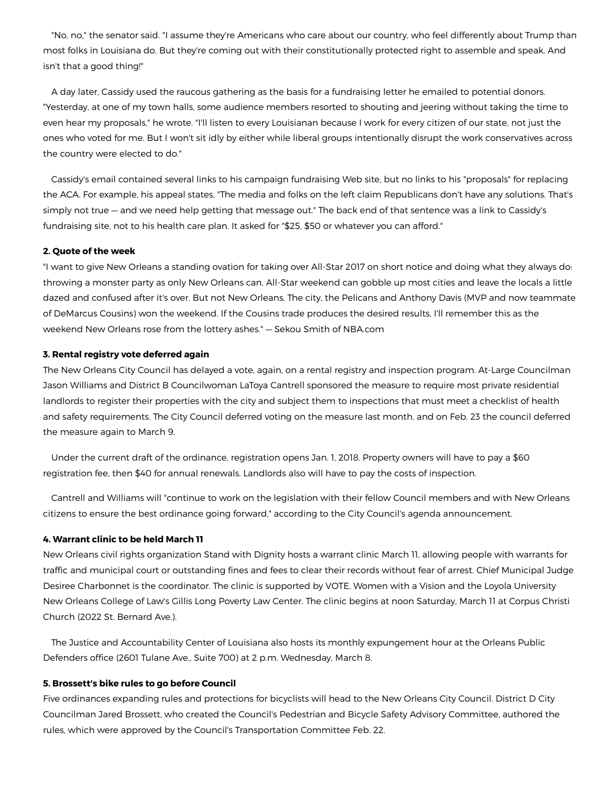"No, no," the senator said. "I assume they're Americans who care about our country, who feel differently about Trump than most folks in Louisiana do. But they're coming out with their constitutionally protected right to assemble and speak. And isn't that a good thing!"

 A day later, Cassidy used the raucous gathering as the basis for a fundraising letter he emailed to potential donors. "Yesterday, at one of my town halls, some audience members resorted to shouting and jeering without taking the time to even hear my proposals," he wrote. "I'll listen to every Louisianan because I work for every citizen of our state, not just the ones who voted for me. But I won't sit idly by either while liberal groups intentionally disrupt the work conservatives across the country were elected to do."

 Cassidy's email contained several links to his campaign fundraising Web site, but no links to his "proposals" for replacing the ACA. For example, his appeal states, "The media and folks on the left claim Republicans don't have any solutions. That's simply not true — and we need help getting that message out." The back end of that sentence was a link to Cassidy's fundraising site, not to his health care plan. It asked for "\$25, \$50 or whatever you can afford."

# **2. Quote of the week**

"I want to give New Orleans a standing ovation for taking over All-Star 2017 on short notice and doing what they always do: throwing a monster party as only New Orleans can. All-Star weekend can gobble up most cities and leave the locals a little dazed and confused after it's over. But not New Orleans. The city, the Pelicans and Anthony Davis (MVP and now teammate of DeMarcus Cousins) won the weekend. If the Cousins trade produces the desired results, I'll remember this as the weekend New Orleans rose from the lottery ashes." — Sekou Smith of NBA.com

# **3. Rental registry vote deferred again**

The New Orleans City Council has delayed a vote, again, on a rental registry and inspection program. At-Large Councilman Jason Williams and District B Councilwoman LaToya Cantrell sponsored the measure to require most private residential landlords to register their properties with the city and subject them to inspections that must meet a checklist of health and safety requirements. The City Council deferred voting on the measure last month, and on Feb. 23 the council deferred the measure again to March 9.

 Under the current draft of the ordinance, registration opens Jan. 1, 2018. Property owners will have to pay a \$60 registration fee, then \$40 for annual renewals. Landlords also will have to pay the costs of inspection.

 Cantrell and Williams will "continue to work on the legislation with their fellow Council members and with New Orleans citizens to ensure the best ordinance going forward," according to the City Council's agenda announcement.

# **4. Warrant clinic to be held March 11**

New Orleans civil rights organization Stand with Dignity hosts a warrant clinic March 11, allowing people with warrants for traffic and municipal court or outstanding fines and fees to clear their records without fear of arrest. Chief Municipal Judge Desiree Charbonnet is the coordinator. The clinic is supported by VOTE, Women with a Vision and the Loyola University New Orleans College of Law's Gillis Long Poverty Law Center. The clinic begins at noon Saturday, March 11 at Corpus Christi Church (2022 St. Bernard Ave.).

 The Justice and Accountability Center of Louisiana also hosts its monthly expungement hour at the Orleans Public Defenders office (2601 Tulane Ave., Suite 700) at 2 p.m. Wednesday, March 8.

#### **5. Brossett's bike rules to go before Council**

Five ordinances expanding rules and protections for bicyclists will head to the New Orleans City Council. District D City Councilman Jared Brossett, who created the Council's Pedestrian and Bicycle Safety Advisory Committee, authored the rules, which were approved by the Council's Transportation Committee Feb. 22.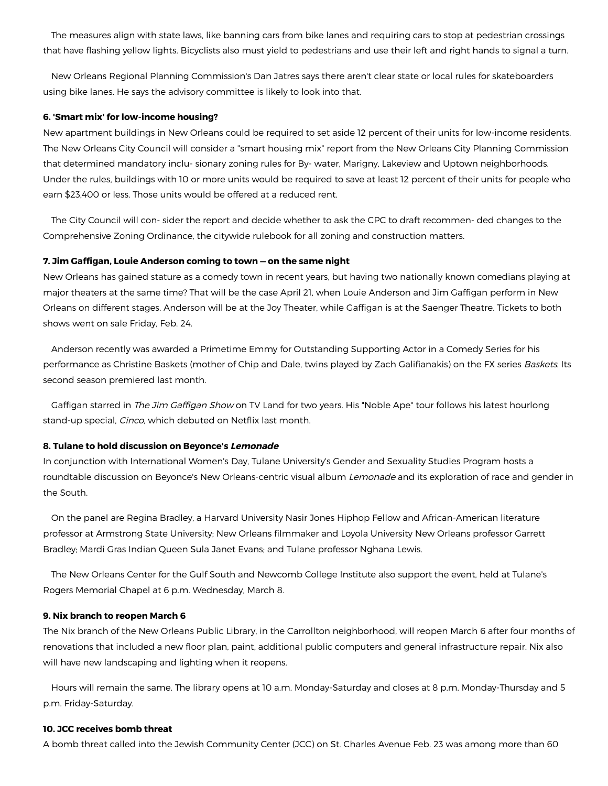The measures align with state laws, like banning cars from bike lanes and requiring cars to stop at pedestrian crossings that have flashing yellow lights. Bicyclists also must yield to pedestrians and use their left and right hands to signal a turn.

 New Orleans Regional Planning Commission's Dan Jatres says there aren't clear state or local rules for skateboarders using bike lanes. He says the advisory committee is likely to look into that.

#### **6. 'Smart mix' for low-income housing?**

New apartment buildings in New Orleans could be required to set aside 12 percent of their units for low-income residents. The New Orleans City Council will consider a "smart housing mix" report from the New Orleans City Planning Commission that determined mandatory inclu- sionary zoning rules for By- water, Marigny, Lakeview and Uptown neighborhoods. Under the rules, buildings with 10 or more units would be required to save at least 12 percent of their units for people who earn \$23,400 or less. Those units would be offered at a reduced rent.

 The City Council will con- sider the report and decide whether to ask the CPC to draft recommen- ded changes to the Comprehensive Zoning Ordinance, the citywide rulebook for all zoning and construction matters.

# **7. Jim Gaffigan, Louie Anderson coming to town — on the same night**

New Orleans has gained stature as a comedy town in recent years, but having two nationally known comedians playing at major theaters at the same time? That will be the case April 21, when Louie Anderson and Jim Gaffigan perform in New Orleans on different stages. Anderson will be at the Joy Theater, while Gaffigan is at the Saenger Theatre. Tickets to both shows went on sale Friday, Feb. 24.

 Anderson recently was awarded a Primetime Emmy for Outstanding Supporting Actor in a Comedy Series for his performance as Christine Baskets (mother of Chip and Dale, twins played by Zach Galifianakis) on the FX series Baskets. Its second season premiered last month.

Gaffigan starred in The Jim Gaffigan Show on TV Land for two years. His "Noble Ape" tour follows his latest hourlong stand-up special, Cinco, which debuted on Netflix last month.

#### **8. Tulane to hold discussion on Beyonce's Lemonade**

In conjunction with International Women's Day, Tulane University's Gender and Sexuality Studies Program hosts a roundtable discussion on Beyonce's New Orleans-centric visual album Lemonade and its exploration of race and gender in the South.

 On the panel are Regina Bradley, a Harvard University Nasir Jones Hiphop Fellow and African-American literature professor at Armstrong State University; New Orleans filmmaker and Loyola University New Orleans professor Garrett Bradley; Mardi Gras Indian Queen Sula Janet Evans; and Tulane professor Nghana Lewis.

 The New Orleans Center for the Gulf South and Newcomb College Institute also support the event, held at Tulane's Rogers Memorial Chapel at 6 p.m. Wednesday, March 8.

#### **9. Nix branch to reopen March 6**

The Nix branch of the New Orleans Public Library, in the Carrollton neighborhood, will reopen March 6 after four months of renovations that included a new floor plan, paint, additional public computers and general infrastructure repair. Nix also will have new landscaping and lighting when it reopens.

 Hours will remain the same. The library opens at 10 a.m. Monday-Saturday and closes at 8 p.m. Monday-Thursday and 5 p.m. Friday-Saturday.

#### **10. JCC receives bomb threat**

A bomb threat called into the Jewish Community Center (JCC) on St. Charles Avenue Feb. 23 was among more than 60